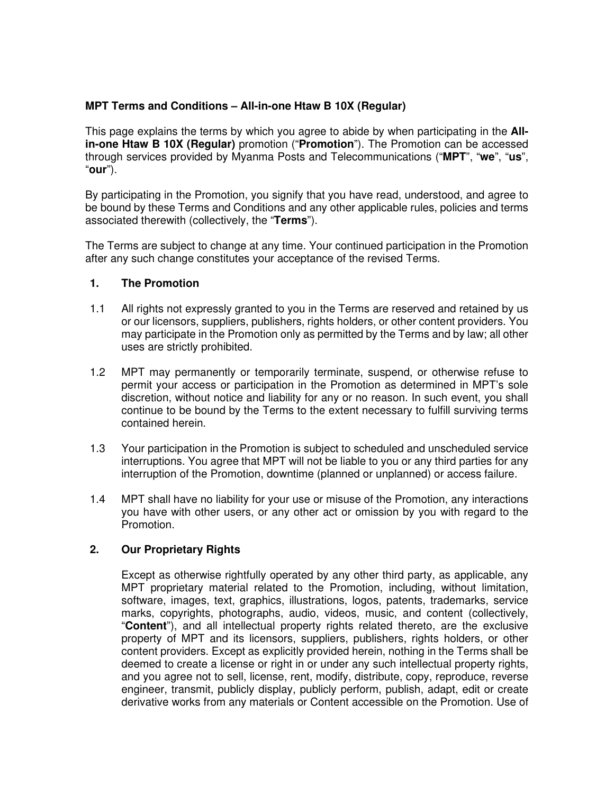## **MPT Terms and Conditions – All-in-one Htaw B 10X (Regular)**

This page explains the terms by which you agree to abide by when participating in the **Allin-one Htaw B 10X (Regular)** promotion ("**Promotion**"). The Promotion can be accessed through services provided by Myanma Posts and Telecommunications ("**MPT**", "**we**", "**us**", "**our**").

By participating in the Promotion, you signify that you have read, understood, and agree to be bound by these Terms and Conditions and any other applicable rules, policies and terms associated therewith (collectively, the "**Terms**").

The Terms are subject to change at any time. Your continued participation in the Promotion after any such change constitutes your acceptance of the revised Terms.

### **1. The Promotion**

- 1.1 All rights not expressly granted to you in the Terms are reserved and retained by us or our licensors, suppliers, publishers, rights holders, or other content providers. You may participate in the Promotion only as permitted by the Terms and by law; all other uses are strictly prohibited.
- 1.2 MPT may permanently or temporarily terminate, suspend, or otherwise refuse to permit your access or participation in the Promotion as determined in MPT's sole discretion, without notice and liability for any or no reason. In such event, you shall continue to be bound by the Terms to the extent necessary to fulfill surviving terms contained herein.
- 1.3 Your participation in the Promotion is subject to scheduled and unscheduled service interruptions. You agree that MPT will not be liable to you or any third parties for any interruption of the Promotion, downtime (planned or unplanned) or access failure.
- 1.4 MPT shall have no liability for your use or misuse of the Promotion, any interactions you have with other users, or any other act or omission by you with regard to the Promotion.

## **2. Our Proprietary Rights**

 Except as otherwise rightfully operated by any other third party, as applicable, any MPT proprietary material related to the Promotion, including, without limitation, software, images, text, graphics, illustrations, logos, patents, trademarks, service marks, copyrights, photographs, audio, videos, music, and content (collectively, "**Content**"), and all intellectual property rights related thereto, are the exclusive property of MPT and its licensors, suppliers, publishers, rights holders, or other content providers. Except as explicitly provided herein, nothing in the Terms shall be deemed to create a license or right in or under any such intellectual property rights, and you agree not to sell, license, rent, modify, distribute, copy, reproduce, reverse engineer, transmit, publicly display, publicly perform, publish, adapt, edit or create derivative works from any materials or Content accessible on the Promotion. Use of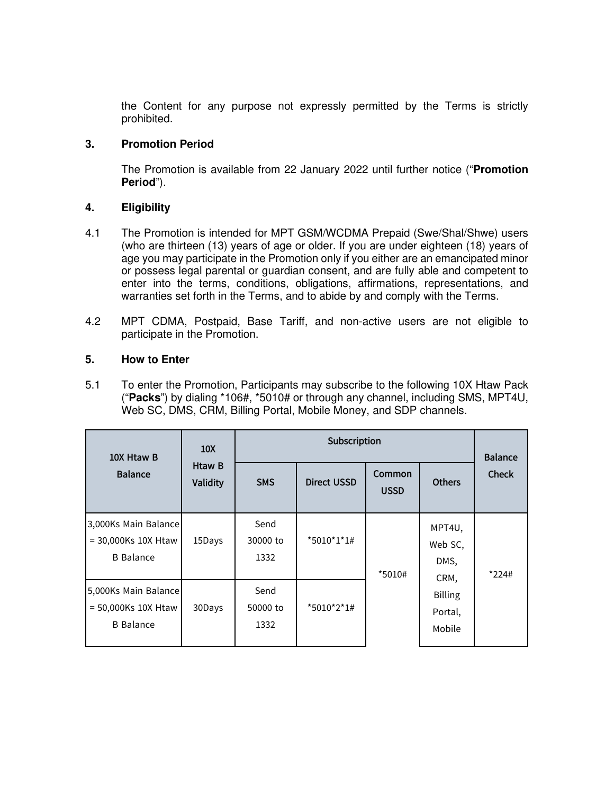the Content for any purpose not expressly permitted by the Terms is strictly prohibited.

## **3. Promotion Period**

The Promotion is available from 22 January 2022 until further notice ("**Promotion Period**").

# **4. Eligibility**

- 4.1 The Promotion is intended for MPT GSM/WCDMA Prepaid (Swe/Shal/Shwe) users (who are thirteen (13) years of age or older. If you are under eighteen (18) years of age you may participate in the Promotion only if you either are an emancipated minor or possess legal parental or guardian consent, and are fully able and competent to enter into the terms, conditions, obligations, affirmations, representations, and warranties set forth in the Terms, and to abide by and comply with the Terms.
- 4.2 MPT CDMA, Postpaid, Base Tariff, and non-active users are not eligible to participate in the Promotion.

# **5. How to Enter**

5.1 To enter the Promotion, Participants may subscribe to the following 10X Htaw Pack ("**Packs**") by dialing \*106#, \*5010# or through any channel, including SMS, MPT4U, Web SC, DMS, CRM, Billing Portal, Mobile Money, and SDP channels.

| 10X Htaw B<br><b>Balance</b>                                       | 10 <sub>X</sub><br>Htaw B<br>Validity | Subscription             |                    |                       |                                     | <b>Balance</b> |
|--------------------------------------------------------------------|---------------------------------------|--------------------------|--------------------|-----------------------|-------------------------------------|----------------|
|                                                                    |                                       | <b>SMS</b>               | <b>Direct USSD</b> | Common<br><b>USSD</b> | <b>Others</b>                       | <b>Check</b>   |
| 3,000Ks Main Balance<br>$= 30,000$ Ks 10X Htaw<br><b>B</b> Balance | 15Days                                | Send<br>30000 to<br>1332 | *5010*1*1#         | *5010#                | MPT4U,<br>Web SC,<br>DMS,<br>CRM,   | $*224#$        |
| 5,000Ks Main Balance<br>= 50,000Ks 10X Htaw<br><b>B</b> Balance    | 30Days                                | Send<br>50000 to<br>1332 | *5010*2*1#         |                       | <b>Billing</b><br>Portal,<br>Mobile |                |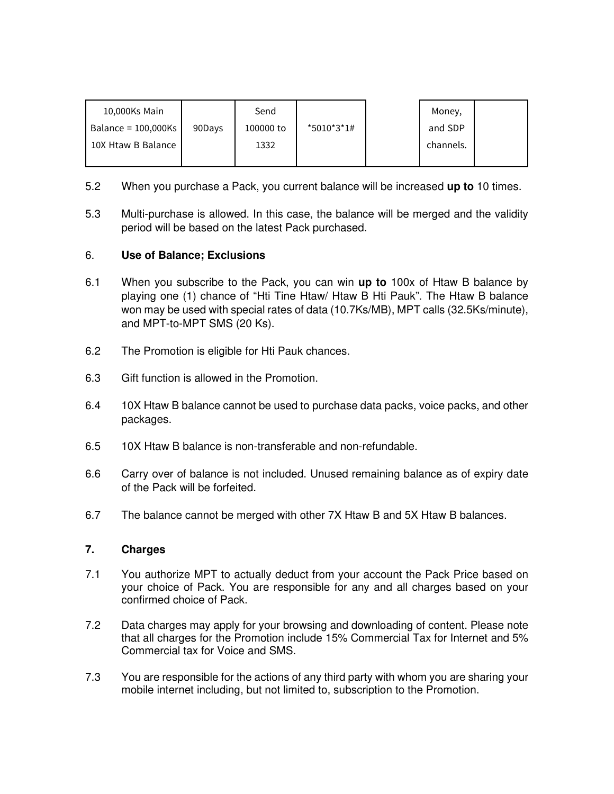| 10,000Ks Main          |        | Send      |            | Money,    |  |
|------------------------|--------|-----------|------------|-----------|--|
| Balance = $100,000$ Ks | 90Days | 100000 to | *5010*3*1# | and SDP   |  |
| 10X Htaw B Balance     |        | 1332      |            | channels. |  |
|                        |        |           |            |           |  |

- 5.2 When you purchase a Pack, you current balance will be increased **up to** 10 times.
- 5.3 Multi-purchase is allowed. In this case, the balance will be merged and the validity period will be based on the latest Pack purchased.

## 6. **Use of Balance; Exclusions**

- 6.1 When you subscribe to the Pack, you can win **up to** 100x of Htaw B balance by playing one (1) chance of "Hti Tine Htaw/ Htaw B Hti Pauk". The Htaw B balance won may be used with special rates of data (10.7Ks/MB), MPT calls (32.5Ks/minute), and MPT-to-MPT SMS (20 Ks).
- 6.2 The Promotion is eligible for Hti Pauk chances.
- 6.3 Gift function is allowed in the Promotion.
- 6.4 10X Htaw B balance cannot be used to purchase data packs, voice packs, and other packages.
- 6.5 10X Htaw B balance is non-transferable and non-refundable.
- 6.6 Carry over of balance is not included. Unused remaining balance as of expiry date of the Pack will be forfeited.
- 6.7 The balance cannot be merged with other 7X Htaw B and 5X Htaw B balances.

### **7. Charges**

- 7.1 You authorize MPT to actually deduct from your account the Pack Price based on your choice of Pack. You are responsible for any and all charges based on your confirmed choice of Pack.
- 7.2 Data charges may apply for your browsing and downloading of content. Please note that all charges for the Promotion include 15% Commercial Tax for Internet and 5% Commercial tax for Voice and SMS.
- 7.3 You are responsible for the actions of any third party with whom you are sharing your mobile internet including, but not limited to, subscription to the Promotion.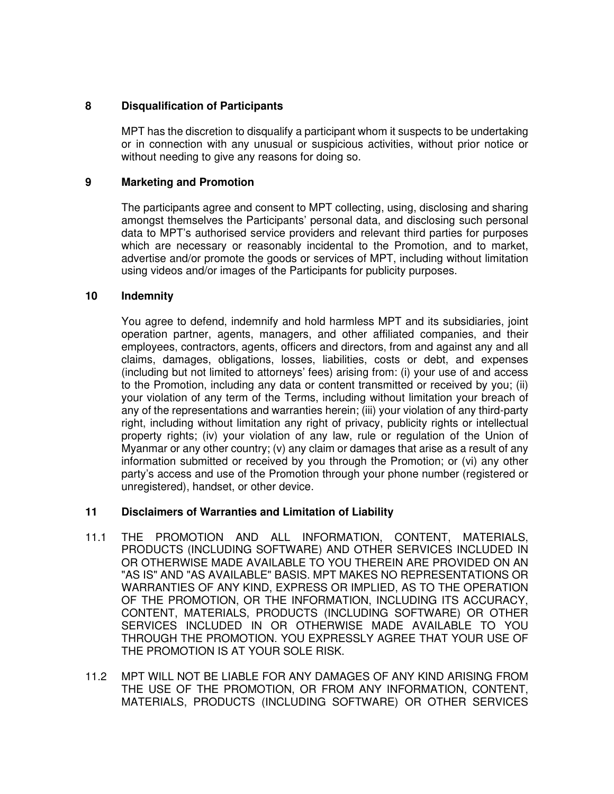### **8 Disqualification of Participants**

MPT has the discretion to disqualify a participant whom it suspects to be undertaking or in connection with any unusual or suspicious activities, without prior notice or without needing to give any reasons for doing so.

### **9 Marketing and Promotion**

The participants agree and consent to MPT collecting, using, disclosing and sharing amongst themselves the Participants' personal data, and disclosing such personal data to MPT's authorised service providers and relevant third parties for purposes which are necessary or reasonably incidental to the Promotion, and to market, advertise and/or promote the goods or services of MPT, including without limitation using videos and/or images of the Participants for publicity purposes.

### **10 Indemnity**

You agree to defend, indemnify and hold harmless MPT and its subsidiaries, joint operation partner, agents, managers, and other affiliated companies, and their employees, contractors, agents, officers and directors, from and against any and all claims, damages, obligations, losses, liabilities, costs or debt, and expenses (including but not limited to attorneys' fees) arising from: (i) your use of and access to the Promotion, including any data or content transmitted or received by you; (ii) your violation of any term of the Terms, including without limitation your breach of any of the representations and warranties herein; (iii) your violation of any third-party right, including without limitation any right of privacy, publicity rights or intellectual property rights; (iv) your violation of any law, rule or regulation of the Union of Myanmar or any other country; (v) any claim or damages that arise as a result of any information submitted or received by you through the Promotion; or (vi) any other party's access and use of the Promotion through your phone number (registered or unregistered), handset, or other device.

## **11 Disclaimers of Warranties and Limitation of Liability**

- 11.1 THE PROMOTION AND ALL INFORMATION, CONTENT, MATERIALS, PRODUCTS (INCLUDING SOFTWARE) AND OTHER SERVICES INCLUDED IN OR OTHERWISE MADE AVAILABLE TO YOU THEREIN ARE PROVIDED ON AN "AS IS" AND "AS AVAILABLE" BASIS. MPT MAKES NO REPRESENTATIONS OR WARRANTIES OF ANY KIND, EXPRESS OR IMPLIED, AS TO THE OPERATION OF THE PROMOTION, OR THE INFORMATION, INCLUDING ITS ACCURACY, CONTENT, MATERIALS, PRODUCTS (INCLUDING SOFTWARE) OR OTHER SERVICES INCLUDED IN OR OTHERWISE MADE AVAILABLE TO YOU THROUGH THE PROMOTION. YOU EXPRESSLY AGREE THAT YOUR USE OF THE PROMOTION IS AT YOUR SOLE RISK.
- 11.2 MPT WILL NOT BE LIABLE FOR ANY DAMAGES OF ANY KIND ARISING FROM THE USE OF THE PROMOTION, OR FROM ANY INFORMATION, CONTENT, MATERIALS, PRODUCTS (INCLUDING SOFTWARE) OR OTHER SERVICES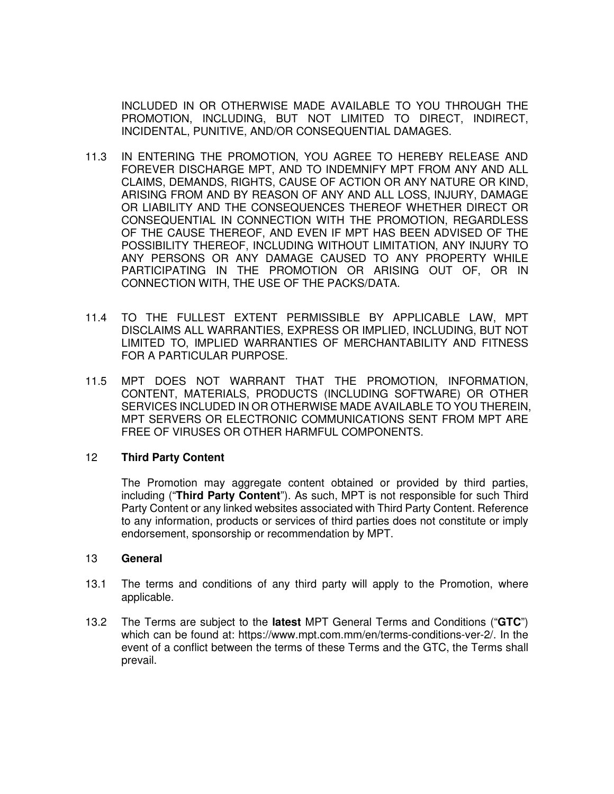INCLUDED IN OR OTHERWISE MADE AVAILABLE TO YOU THROUGH THE PROMOTION, INCLUDING, BUT NOT LIMITED TO DIRECT, INDIRECT, INCIDENTAL, PUNITIVE, AND/OR CONSEQUENTIAL DAMAGES.

- 11.3 IN ENTERING THE PROMOTION, YOU AGREE TO HEREBY RELEASE AND FOREVER DISCHARGE MPT, AND TO INDEMNIFY MPT FROM ANY AND ALL CLAIMS, DEMANDS, RIGHTS, CAUSE OF ACTION OR ANY NATURE OR KIND, ARISING FROM AND BY REASON OF ANY AND ALL LOSS, INJURY, DAMAGE OR LIABILITY AND THE CONSEQUENCES THEREOF WHETHER DIRECT OR CONSEQUENTIAL IN CONNECTION WITH THE PROMOTION, REGARDLESS OF THE CAUSE THEREOF, AND EVEN IF MPT HAS BEEN ADVISED OF THE POSSIBILITY THEREOF, INCLUDING WITHOUT LIMITATION, ANY INJURY TO ANY PERSONS OR ANY DAMAGE CAUSED TO ANY PROPERTY WHILE PARTICIPATING IN THE PROMOTION OR ARISING OUT OF, OR IN CONNECTION WITH, THE USE OF THE PACKS/DATA.
- 11.4 TO THE FULLEST EXTENT PERMISSIBLE BY APPLICABLE LAW, MPT DISCLAIMS ALL WARRANTIES, EXPRESS OR IMPLIED, INCLUDING, BUT NOT LIMITED TO, IMPLIED WARRANTIES OF MERCHANTABILITY AND FITNESS FOR A PARTICULAR PURPOSE.
- 11.5 MPT DOES NOT WARRANT THAT THE PROMOTION, INFORMATION, CONTENT, MATERIALS, PRODUCTS (INCLUDING SOFTWARE) OR OTHER SERVICES INCLUDED IN OR OTHERWISE MADE AVAILABLE TO YOU THEREIN, MPT SERVERS OR ELECTRONIC COMMUNICATIONS SENT FROM MPT ARE FREE OF VIRUSES OR OTHER HARMFUL COMPONENTS.

#### 12 **Third Party Content**

The Promotion may aggregate content obtained or provided by third parties, including ("**Third Party Content**"). As such, MPT is not responsible for such Third Party Content or any linked websites associated with Third Party Content. Reference to any information, products or services of third parties does not constitute or imply endorsement, sponsorship or recommendation by MPT.

#### 13 **General**

- 13.1 The terms and conditions of any third party will apply to the Promotion, where applicable.
- 13.2 The Terms are subject to the **latest** MPT General Terms and Conditions ("**GTC**") which can be found at: https://www.mpt.com.mm/en/terms-conditions-ver-2/. In the event of a conflict between the terms of these Terms and the GTC, the Terms shall prevail.